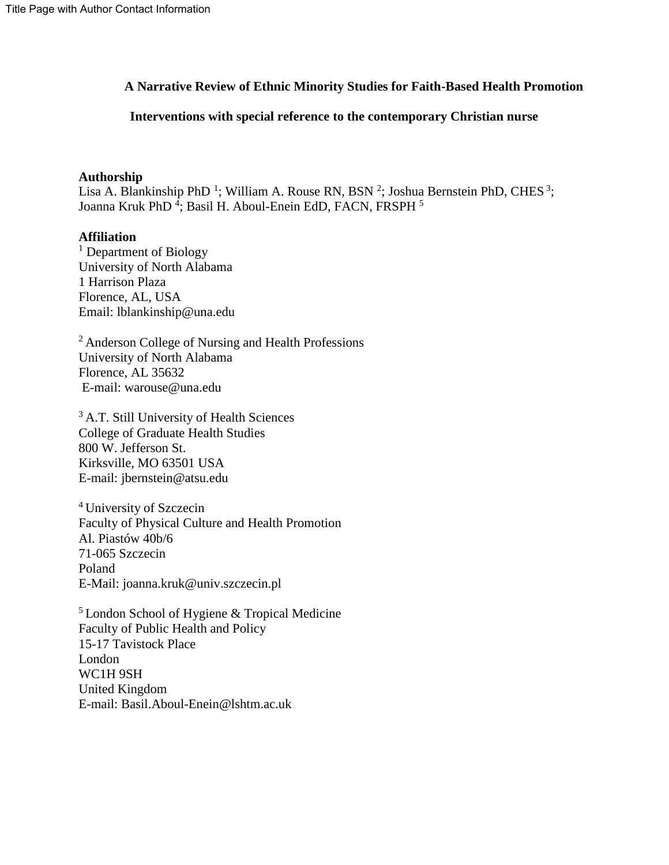# **A Narrative Review of Ethnic Minority Studies for Faith-Based Health Promotion**

# **Interventions with special reference to the contemporary Christian nurse**

# **Authorship**

Lisa A. Blankinship PhD<sup>1</sup>; William A. Rouse RN, BSN<sup>2</sup>; Joshua Bernstein PhD, CHES<sup>3</sup>; Joanna Kruk PhD<sup>4</sup>; Basil H. Aboul-Enein EdD, FACN, FRSPH<sup>5</sup>

# **Affiliation**

<sup>1</sup> Department of Biology University of North Alabama 1 Harrison Plaza Florence, AL, USA Email: lblankinship@una.edu

<sup>2</sup>Anderson College of Nursing and Health Professions University of North Alabama Florence, AL 35632 E-mail: warouse@una.edu

<sup>3</sup> A.T. Still University of Health Sciences College of Graduate Health Studies 800 W. Jefferson St. Kirksville, MO 63501 USA E-mail: jbernstein@atsu.edu

<sup>4</sup> University of Szczecin Faculty of Physical Culture and Health Promotion Al. Piastów 40b/6 71-065 Szczecin Poland E-Mail: joanna.kruk@univ.szczecin.pl

<sup>5</sup> London School of Hygiene & Tropical Medicine Faculty of Public Health and Policy 15-17 Tavistock Place London WC1H 9SH United Kingdom E-mail: Basil.Aboul-Enein@lshtm.ac.uk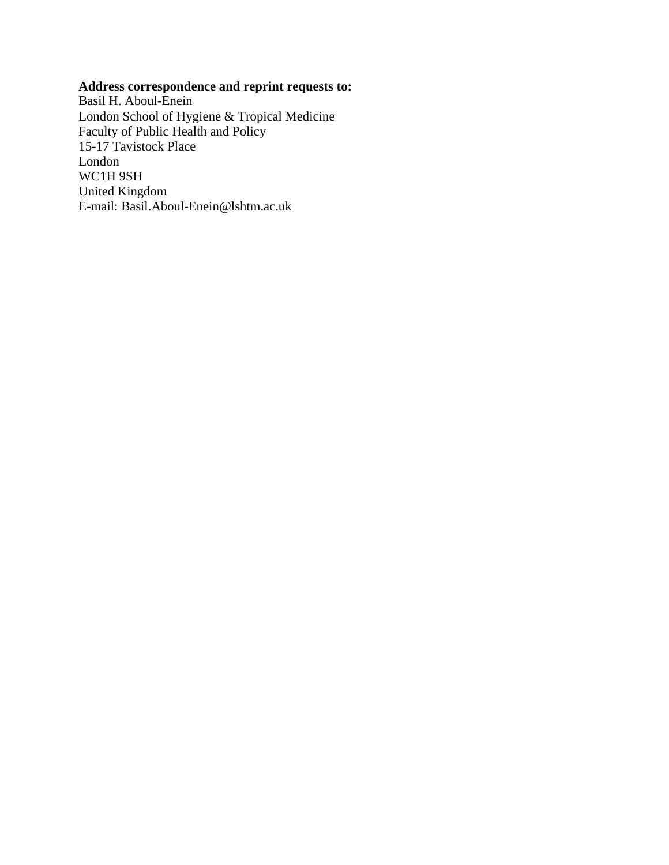# **Address correspondence and reprint requests to:**

Basil H. Aboul-Enein London School of Hygiene & Tropical Medicine Faculty of Public Health and Policy 15-17 Tavistock Place London WC1H 9SH United Kingdom E-mail: Basil.Aboul-Enein@lshtm.ac.uk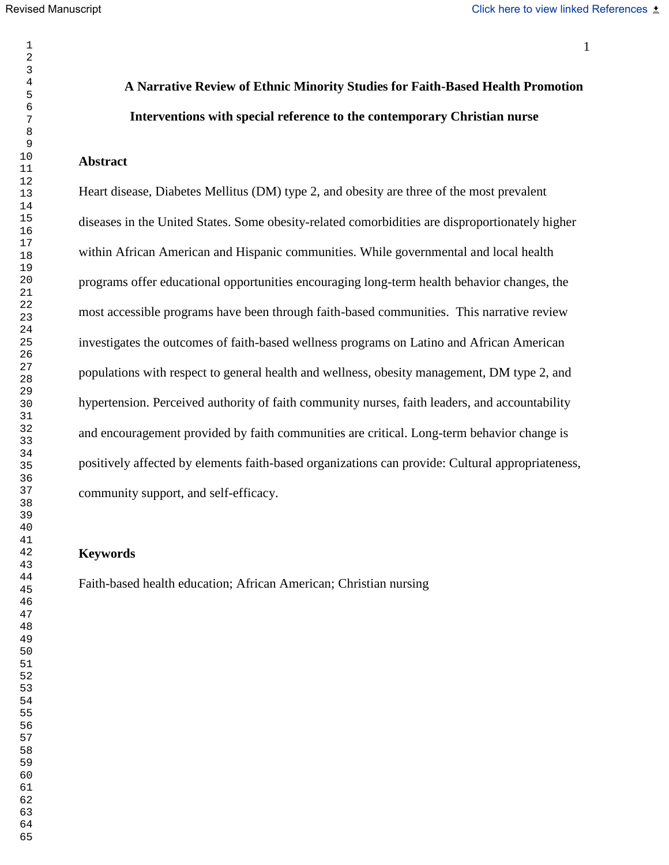# **A Narrative Review of Ethnic Minority Studies for Faith-Based Health Promotion Interventions with special reference to the contemporary Christian nurse**

## **Abstract**

Heart disease, Diabetes Mellitus (DM) type 2, and obesity are three of the most prevalent diseases in the United States. Some obesity-related comorbidities are disproportionately higher within African American and Hispanic communities. While governmental and local health programs offer educational opportunities encouraging long-term health behavior changes, the most accessible programs have been through faith-based communities. This narrative review investigates the outcomes of faith-based wellness programs on Latino and African American populations with respect to general health and wellness, obesity management, DM type 2, and hypertension. Perceived authority of faith community nurses, faith leaders, and accountability and encouragement provided by faith communities are critical. Long-term behavior change is positively affected by elements faith-based organizations can provide: Cultural appropriateness, community support, and self-efficacy.

# **Keywords**

Faith-based health education; African American; Christian nursing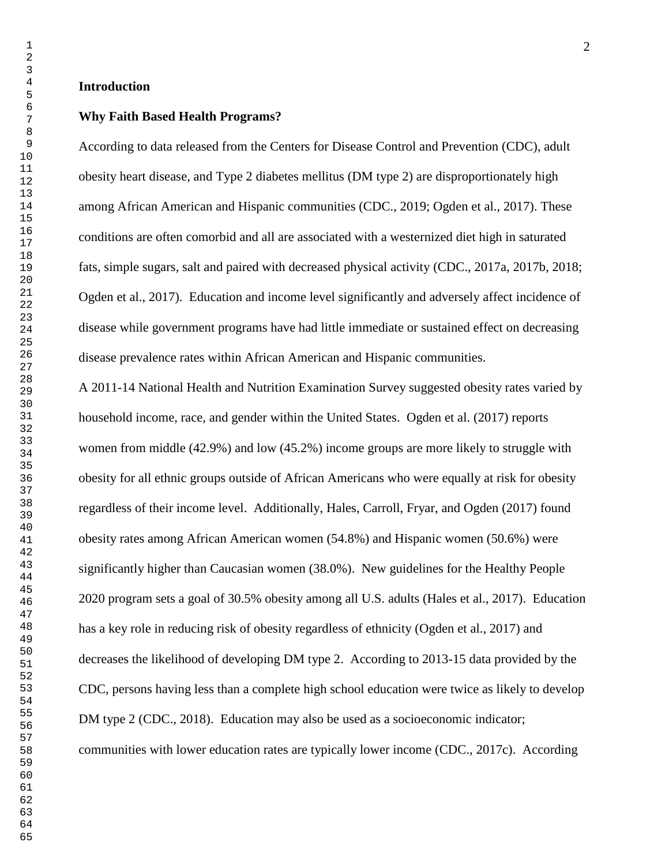#### **Introduction**

#### **Why Faith Based Health Programs?**

According to data released from the Centers for Disease Control and Prevention (CDC), adult obesity heart disease, and Type 2 diabetes mellitus (DM type 2) are disproportionately high among African American and Hispanic communities (CDC., 2019; Ogden et al., 2017). These conditions are often comorbid and all are associated with a westernized diet high in saturated fats, simple sugars, salt and paired with decreased physical activity (CDC., 2017a, 2017b, 2018; Ogden et al., 2017). Education and income level significantly and adversely affect incidence of disease while government programs have had little immediate or sustained effect on decreasing disease prevalence rates within African American and Hispanic communities.

A 2011-14 National Health and Nutrition Examination Survey suggested obesity rates varied by household income, race, and gender within the United States. Ogden et al. (2017) reports women from middle (42.9%) and low (45.2%) income groups are more likely to struggle with obesity for all ethnic groups outside of African Americans who were equally at risk for obesity regardless of their income level. Additionally, Hales, Carroll, Fryar, and Ogden (2017) found obesity rates among African American women (54.8%) and Hispanic women (50.6%) were significantly higher than Caucasian women (38.0%). New guidelines for the Healthy People 2020 program sets a goal of 30.5% obesity among all U.S. adults (Hales et al., 2017). Education has a key role in reducing risk of obesity regardless of ethnicity (Ogden et al., 2017) and decreases the likelihood of developing DM type 2. According to 2013-15 data provided by the CDC, persons having less than a complete high school education were twice as likely to develop DM type 2 (CDC., 2018). Education may also be used as a socioeconomic indicator; communities with lower education rates are typically lower income (CDC., 2017c). According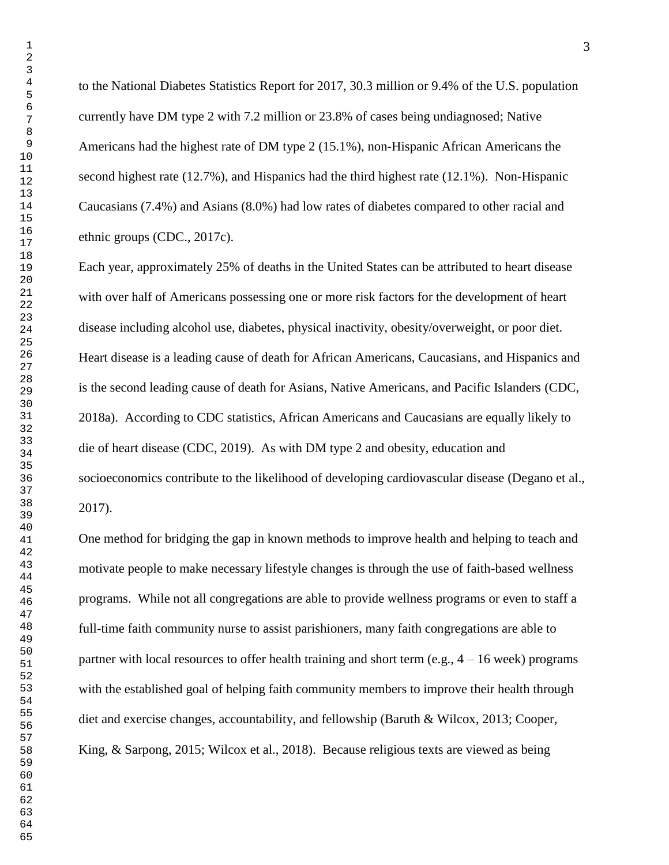to the National Diabetes Statistics Report for 2017, 30.3 million or 9.4% of the U.S. population currently have DM type 2 with 7.2 million or 23.8% of cases being undiagnosed; Native Americans had the highest rate of DM type 2 (15.1%), non-Hispanic African Americans the second highest rate (12.7%), and Hispanics had the third highest rate (12.1%). Non-Hispanic Caucasians (7.4%) and Asians (8.0%) had low rates of diabetes compared to other racial and ethnic groups (CDC., 2017c).

Each year, approximately 25% of deaths in the United States can be attributed to heart disease with over half of Americans possessing one or more risk factors for the development of heart disease including alcohol use, diabetes, physical inactivity, obesity/overweight, or poor diet. Heart disease is a leading cause of death for African Americans, Caucasians, and Hispanics and is the second leading cause of death for Asians, Native Americans, and Pacific Islanders (CDC, 2018a). According to CDC statistics, African Americans and Caucasians are equally likely to die of heart disease (CDC, 2019). As with DM type 2 and obesity, education and socioeconomics contribute to the likelihood of developing cardiovascular disease (Degano et al., 2017).

One method for bridging the gap in known methods to improve health and helping to teach and motivate people to make necessary lifestyle changes is through the use of faith-based wellness programs. While not all congregations are able to provide wellness programs or even to staff a full-time faith community nurse to assist parishioners, many faith congregations are able to partner with local resources to offer health training and short term (e.g.,  $4 - 16$  week) programs with the established goal of helping faith community members to improve their health through diet and exercise changes, accountability, and fellowship (Baruth & Wilcox, 2013; Cooper, King, & Sarpong, 2015; Wilcox et al., 2018). Because religious texts are viewed as being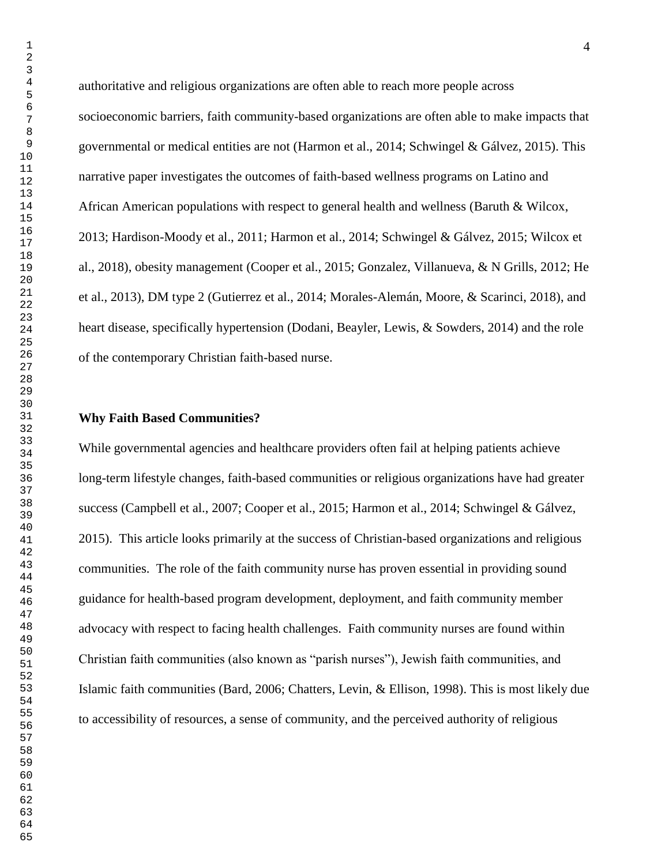authoritative and religious organizations are often able to reach more people across socioeconomic barriers, faith community-based organizations are often able to make impacts that governmental or medical entities are not (Harmon et al., 2014; Schwingel & Gálvez, 2015). This narrative paper investigates the outcomes of faith-based wellness programs on Latino and African American populations with respect to general health and wellness (Baruth & Wilcox, 2013; Hardison-Moody et al., 2011; Harmon et al., 2014; Schwingel & Gálvez, 2015; Wilcox et al., 2018), obesity management (Cooper et al., 2015; Gonzalez, Villanueva, & N Grills, 2012; He et al., 2013), DM type 2 (Gutierrez et al., 2014; Morales-Alemán, Moore, & Scarinci, 2018), and heart disease, specifically hypertension (Dodani, Beayler, Lewis, & Sowders, 2014) and the role of the contemporary Christian faith-based nurse.

#### **Why Faith Based Communities?**

While governmental agencies and healthcare providers often fail at helping patients achieve long-term lifestyle changes, faith-based communities or religious organizations have had greater success (Campbell et al., 2007; Cooper et al., 2015; Harmon et al., 2014; Schwingel & Gálvez, 2015). This article looks primarily at the success of Christian-based organizations and religious communities. The role of the faith community nurse has proven essential in providing sound guidance for health-based program development, deployment, and faith community member advocacy with respect to facing health challenges. Faith community nurses are found within Christian faith communities (also known as "parish nurses"), Jewish faith communities, and Islamic faith communities (Bard, 2006; Chatters, Levin, & Ellison, 1998). This is most likely due to accessibility of resources, a sense of community, and the perceived authority of religious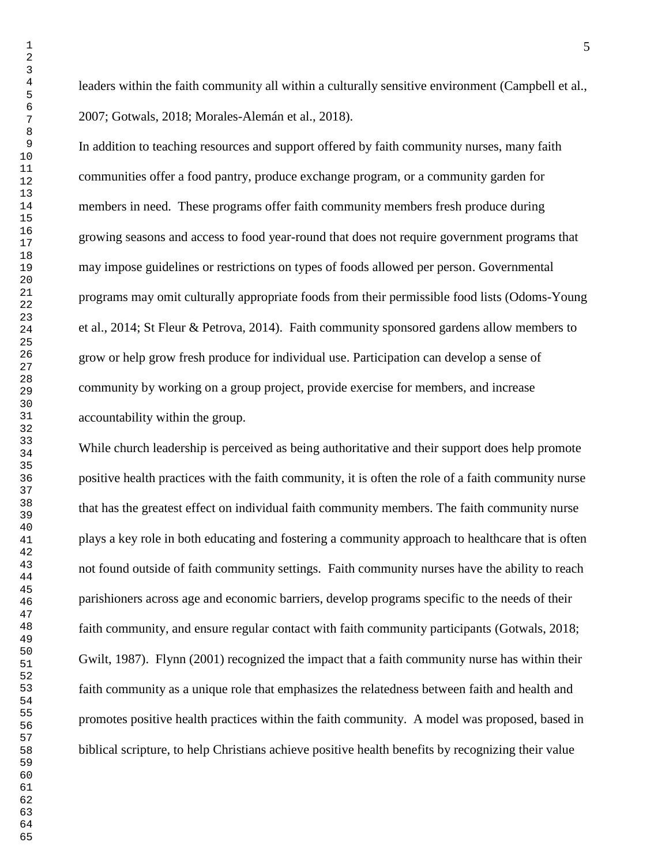leaders within the faith community all within a culturally sensitive environment (Campbell et al., 2007; Gotwals, 2018; Morales-Alemán et al., 2018).

In addition to teaching resources and support offered by faith community nurses, many faith communities offer a food pantry, produce exchange program, or a community garden for members in need. These programs offer faith community members fresh produce during growing seasons and access to food year-round that does not require government programs that may impose guidelines or restrictions on types of foods allowed per person. Governmental programs may omit culturally appropriate foods from their permissible food lists (Odoms-Young et al., 2014; St Fleur & Petrova, 2014). Faith community sponsored gardens allow members to grow or help grow fresh produce for individual use. Participation can develop a sense of community by working on a group project, provide exercise for members, and increase accountability within the group.

While church leadership is perceived as being authoritative and their support does help promote positive health practices with the faith community, it is often the role of a faith community nurse that has the greatest effect on individual faith community members. The faith community nurse plays a key role in both educating and fostering a community approach to healthcare that is often not found outside of faith community settings. Faith community nurses have the ability to reach parishioners across age and economic barriers, develop programs specific to the needs of their faith community, and ensure regular contact with faith community participants (Gotwals, 2018; Gwilt, 1987). Flynn (2001) recognized the impact that a faith community nurse has within their faith community as a unique role that emphasizes the relatedness between faith and health and promotes positive health practices within the faith community. A model was proposed, based in biblical scripture, to help Christians achieve positive health benefits by recognizing their value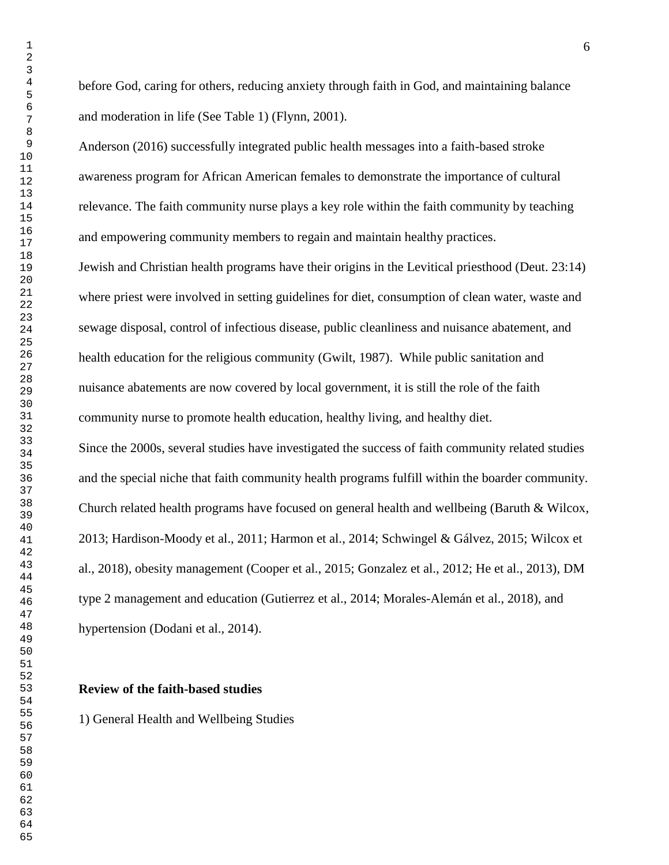before God, caring for others, reducing anxiety through faith in God, and maintaining balance and moderation in life (See Table 1) (Flynn, 2001).

Anderson (2016) successfully integrated public health messages into a faith-based stroke awareness program for African American females to demonstrate the importance of cultural relevance. The faith community nurse plays a key role within the faith community by teaching and empowering community members to regain and maintain healthy practices.

Jewish and Christian health programs have their origins in the Levitical priesthood (Deut. 23:14) where priest were involved in setting guidelines for diet, consumption of clean water, waste and sewage disposal, control of infectious disease, public cleanliness and nuisance abatement, and health education for the religious community (Gwilt, 1987). While public sanitation and nuisance abatements are now covered by local government, it is still the role of the faith community nurse to promote health education, healthy living, and healthy diet.

Since the 2000s, several studies have investigated the success of faith community related studies and the special niche that faith community health programs fulfill within the boarder community. Church related health programs have focused on general health and wellbeing (Baruth & Wilcox, 2013; Hardison-Moody et al., 2011; Harmon et al., 2014; Schwingel & Gálvez, 2015; Wilcox et al., 2018), obesity management (Cooper et al., 2015; Gonzalez et al., 2012; He et al., 2013), DM type 2 management and education (Gutierrez et al., 2014; Morales-Alemán et al., 2018), and hypertension (Dodani et al., 2014).

#### **Review of the faith-based studies**

1) General Health and Wellbeing Studies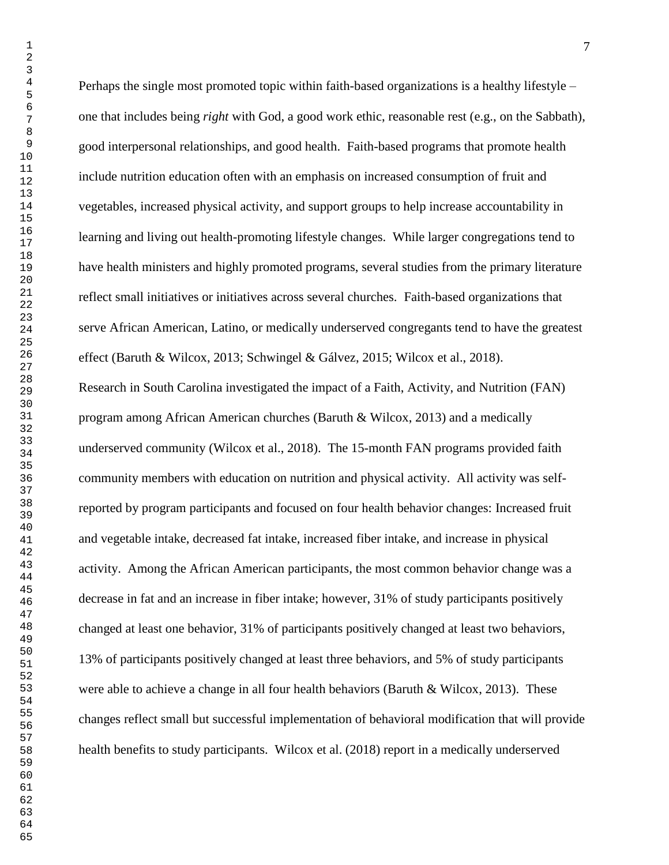Perhaps the single most promoted topic within faith-based organizations is a healthy lifestyle – one that includes being *right* with God, a good work ethic, reasonable rest (e.g., on the Sabbath), good interpersonal relationships, and good health. Faith-based programs that promote health include nutrition education often with an emphasis on increased consumption of fruit and vegetables, increased physical activity, and support groups to help increase accountability in learning and living out health-promoting lifestyle changes. While larger congregations tend to have health ministers and highly promoted programs, several studies from the primary literature reflect small initiatives or initiatives across several churches. Faith-based organizations that serve African American, Latino, or medically underserved congregants tend to have the greatest effect (Baruth & Wilcox, 2013; Schwingel & Gálvez, 2015; Wilcox et al., 2018). Research in South Carolina investigated the impact of a Faith, Activity, and Nutrition (FAN) program among African American churches (Baruth & Wilcox, 2013) and a medically underserved community (Wilcox et al., 2018). The 15-month FAN programs provided faith community members with education on nutrition and physical activity. All activity was selfreported by program participants and focused on four health behavior changes: Increased fruit and vegetable intake, decreased fat intake, increased fiber intake, and increase in physical activity. Among the African American participants, the most common behavior change was a decrease in fat and an increase in fiber intake; however, 31% of study participants positively changed at least one behavior, 31% of participants positively changed at least two behaviors, 13% of participants positively changed at least three behaviors, and 5% of study participants were able to achieve a change in all four health behaviors (Baruth & Wilcox, 2013). These changes reflect small but successful implementation of behavioral modification that will provide health benefits to study participants. Wilcox et al. (2018) report in a medically underserved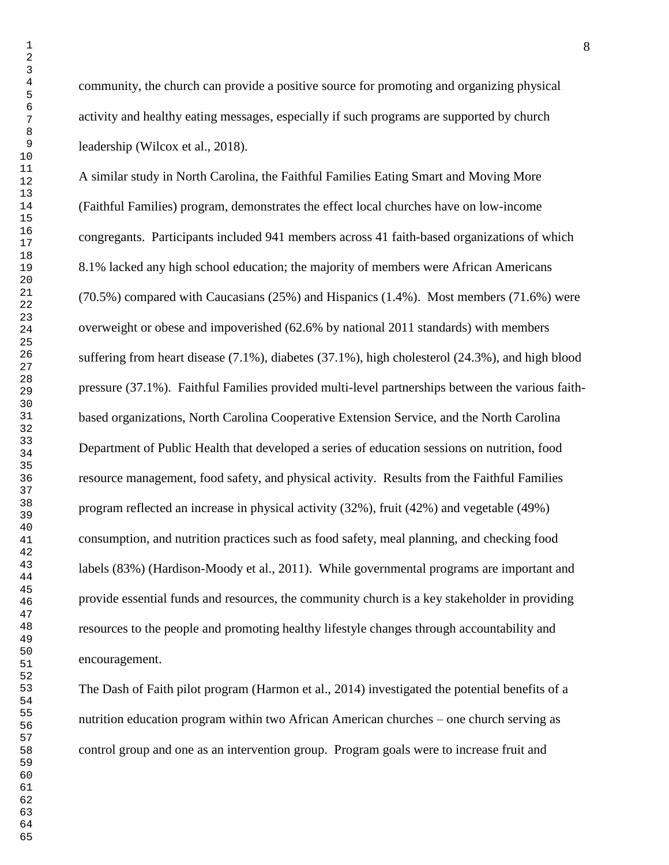community, the church can provide a positive source for promoting and organizing physical activity and healthy eating messages, especially if such programs are supported by church leadership (Wilcox et al., 2018).

A similar study in North Carolina, the Faithful Families Eating Smart and Moving More (Faithful Families) program, demonstrates the effect local churches have on low-income congregants. Participants included 941 members across 41 faith-based organizations of which 8.1% lacked any high school education; the majority of members were African Americans (70.5%) compared with Caucasians (25%) and Hispanics (1.4%). Most members (71.6%) were overweight or obese and impoverished (62.6% by national 2011 standards) with members suffering from heart disease (7.1%), diabetes (37.1%), high cholesterol (24.3%), and high blood pressure (37.1%). Faithful Families provided multi-level partnerships between the various faithbased organizations, North Carolina Cooperative Extension Service, and the North Carolina Department of Public Health that developed a series of education sessions on nutrition, food resource management, food safety, and physical activity. Results from the Faithful Families program reflected an increase in physical activity (32%), fruit (42%) and vegetable (49%) consumption, and nutrition practices such as food safety, meal planning, and checking food labels (83%) (Hardison-Moody et al., 2011). While governmental programs are important and provide essential funds and resources, the community church is a key stakeholder in providing resources to the people and promoting healthy lifestyle changes through accountability and encouragement.

The Dash of Faith pilot program (Harmon et al., 2014) investigated the potential benefits of a nutrition education program within two African American churches – one church serving as control group and one as an intervention group. Program goals were to increase fruit and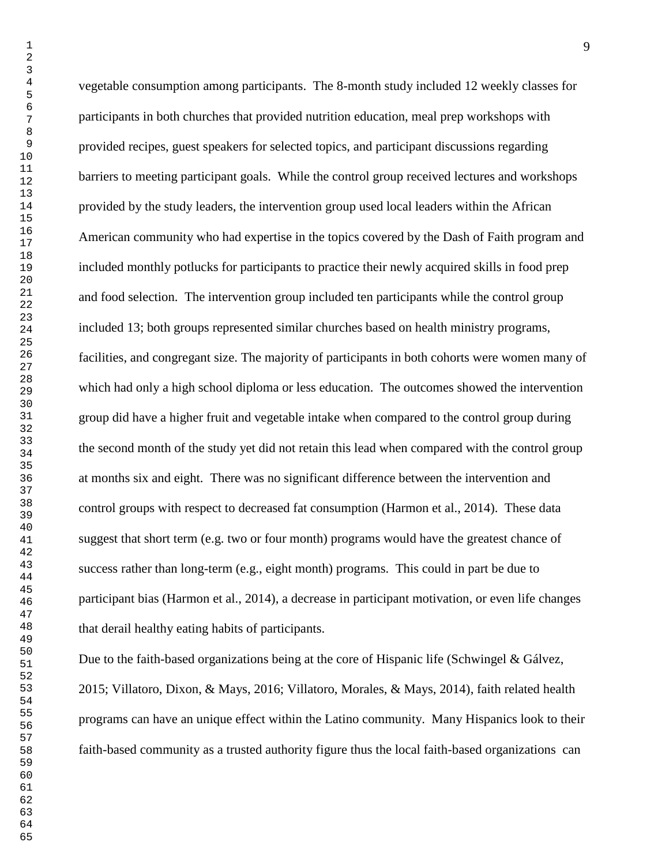vegetable consumption among participants. The 8-month study included 12 weekly classes for participants in both churches that provided nutrition education, meal prep workshops with provided recipes, guest speakers for selected topics, and participant discussions regarding barriers to meeting participant goals. While the control group received lectures and workshops provided by the study leaders, the intervention group used local leaders within the African American community who had expertise in the topics covered by the Dash of Faith program and included monthly potlucks for participants to practice their newly acquired skills in food prep and food selection. The intervention group included ten participants while the control group included 13; both groups represented similar churches based on health ministry programs, facilities, and congregant size. The majority of participants in both cohorts were women many of which had only a high school diploma or less education. The outcomes showed the intervention group did have a higher fruit and vegetable intake when compared to the control group during the second month of the study yet did not retain this lead when compared with the control group at months six and eight. There was no significant difference between the intervention and control groups with respect to decreased fat consumption (Harmon et al., 2014). These data suggest that short term (e.g. two or four month) programs would have the greatest chance of success rather than long-term (e.g., eight month) programs. This could in part be due to participant bias (Harmon et al., 2014), a decrease in participant motivation, or even life changes that derail healthy eating habits of participants.

Due to the faith-based organizations being at the core of Hispanic life (Schwingel & Gálvez, 2015; Villatoro, Dixon, & Mays, 2016; Villatoro, Morales, & Mays, 2014), faith related health programs can have an unique effect within the Latino community. Many Hispanics look to their faith-based community as a trusted authority figure thus the local faith-based organizations can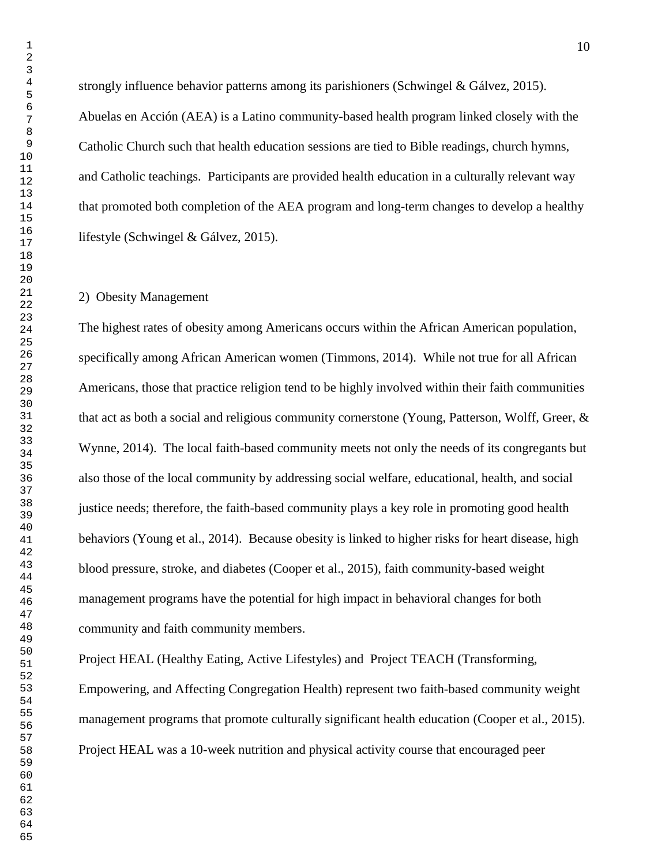strongly influence behavior patterns among its parishioners (Schwingel & Gálvez, 2015). Abuelas en Acción (AEA) is a Latino community-based health program linked closely with the Catholic Church such that health education sessions are tied to Bible readings, church hymns, and Catholic teachings. Participants are provided health education in a culturally relevant way that promoted both completion of the AEA program and long-term changes to develop a healthy lifestyle (Schwingel & Gálvez, 2015).

#### 2) Obesity Management

The highest rates of obesity among Americans occurs within the African American population, specifically among African American women (Timmons, 2014). While not true for all African Americans, those that practice religion tend to be highly involved within their faith communities that act as both a social and religious community cornerstone (Young, Patterson, Wolff, Greer, & Wynne, 2014). The local faith-based community meets not only the needs of its congregants but also those of the local community by addressing social welfare, educational, health, and social justice needs; therefore, the faith-based community plays a key role in promoting good health behaviors (Young et al., 2014). Because obesity is linked to higher risks for heart disease, high blood pressure, stroke, and diabetes (Cooper et al., 2015), faith community-based weight management programs have the potential for high impact in behavioral changes for both community and faith community members.

Project HEAL (Healthy Eating, Active Lifestyles) and Project TEACH (Transforming, Empowering, and Affecting Congregation Health) represent two faith-based community weight management programs that promote culturally significant health education (Cooper et al., 2015). Project HEAL was a 10-week nutrition and physical activity course that encouraged peer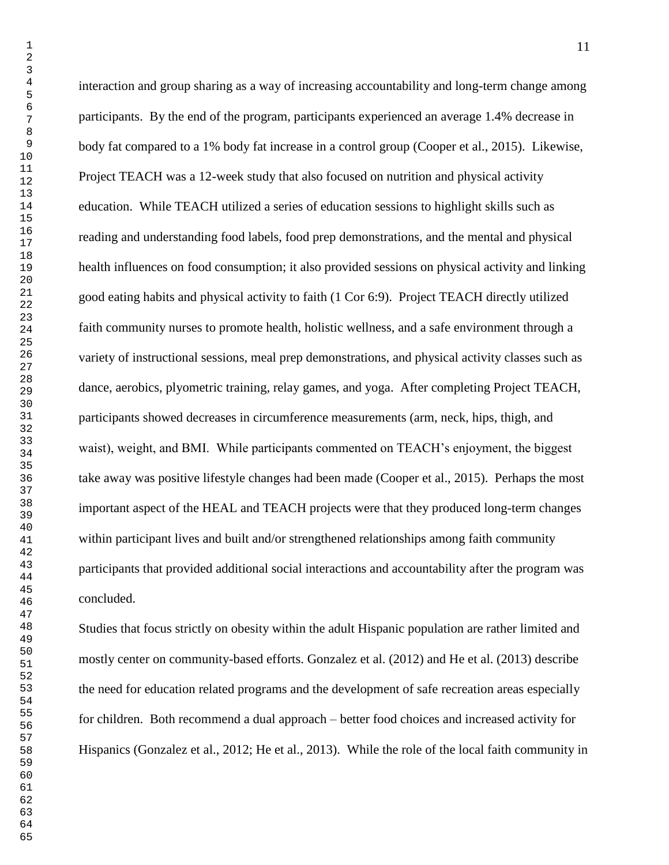interaction and group sharing as a way of increasing accountability and long-term change among participants. By the end of the program, participants experienced an average 1.4% decrease in body fat compared to a 1% body fat increase in a control group (Cooper et al., 2015). Likewise, Project TEACH was a 12-week study that also focused on nutrition and physical activity education. While TEACH utilized a series of education sessions to highlight skills such as reading and understanding food labels, food prep demonstrations, and the mental and physical health influences on food consumption; it also provided sessions on physical activity and linking good eating habits and physical activity to faith (1 Cor 6:9). Project TEACH directly utilized faith community nurses to promote health, holistic wellness, and a safe environment through a variety of instructional sessions, meal prep demonstrations, and physical activity classes such as dance, aerobics, plyometric training, relay games, and yoga. After completing Project TEACH, participants showed decreases in circumference measurements (arm, neck, hips, thigh, and waist), weight, and BMI. While participants commented on TEACH's enjoyment, the biggest take away was positive lifestyle changes had been made (Cooper et al., 2015). Perhaps the most important aspect of the HEAL and TEACH projects were that they produced long-term changes within participant lives and built and/or strengthened relationships among faith community participants that provided additional social interactions and accountability after the program was concluded.

Studies that focus strictly on obesity within the adult Hispanic population are rather limited and mostly center on community-based efforts. Gonzalez et al. (2012) and He et al. (2013) describe the need for education related programs and the development of safe recreation areas especially for children. Both recommend a dual approach – better food choices and increased activity for Hispanics (Gonzalez et al., 2012; He et al., 2013). While the role of the local faith community in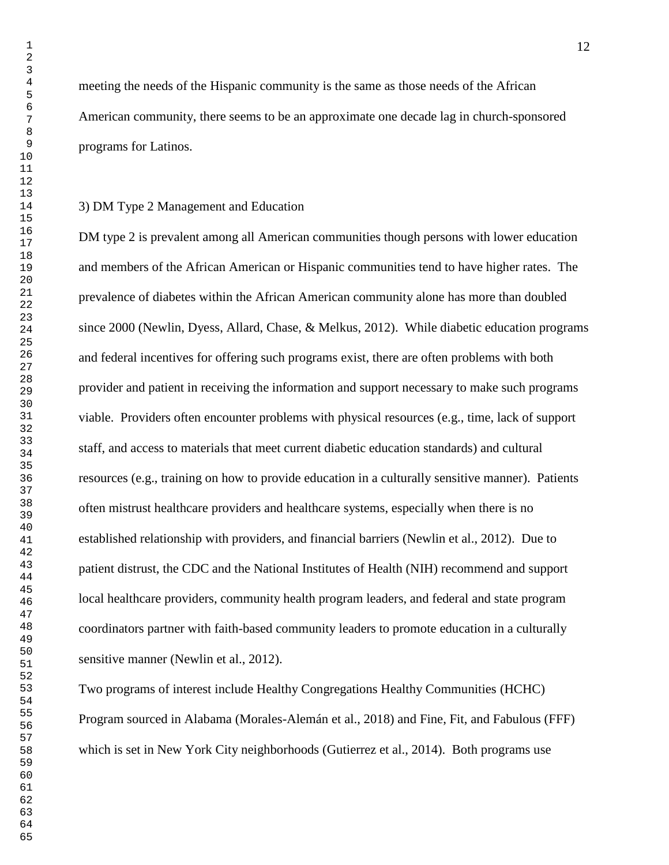meeting the needs of the Hispanic community is the same as those needs of the African American community, there seems to be an approximate one decade lag in church-sponsored

programs for Latinos.

#### 3) DM Type 2 Management and Education

DM type 2 is prevalent among all American communities though persons with lower education and members of the African American or Hispanic communities tend to have higher rates. The prevalence of diabetes within the African American community alone has more than doubled since 2000 (Newlin, Dyess, Allard, Chase, & Melkus, 2012). While diabetic education programs and federal incentives for offering such programs exist, there are often problems with both provider and patient in receiving the information and support necessary to make such programs viable. Providers often encounter problems with physical resources (e.g., time, lack of support staff, and access to materials that meet current diabetic education standards) and cultural resources (e.g., training on how to provide education in a culturally sensitive manner). Patients often mistrust healthcare providers and healthcare systems, especially when there is no established relationship with providers, and financial barriers (Newlin et al., 2012). Due to patient distrust, the CDC and the National Institutes of Health (NIH) recommend and support local healthcare providers, community health program leaders, and federal and state program coordinators partner with faith-based community leaders to promote education in a culturally sensitive manner (Newlin et al., 2012).

Two programs of interest include Healthy Congregations Healthy Communities (HCHC) Program sourced in Alabama (Morales-Alemán et al., 2018) and Fine, Fit, and Fabulous (FFF) which is set in New York City neighborhoods (Gutierrez et al., 2014). Both programs use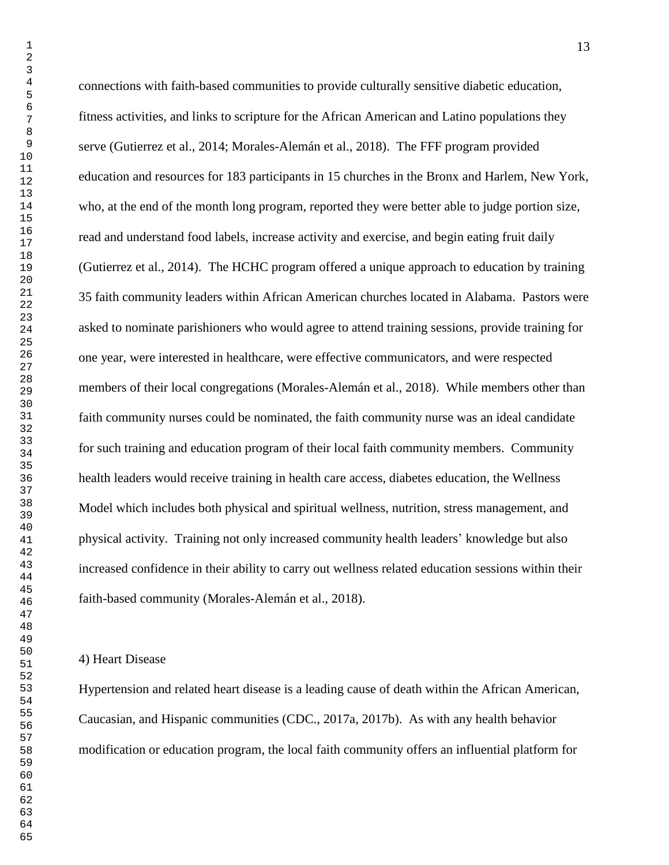connections with faith-based communities to provide culturally sensitive diabetic education, fitness activities, and links to scripture for the African American and Latino populations they serve (Gutierrez et al., 2014; Morales-Alemán et al., 2018). The FFF program provided education and resources for 183 participants in 15 churches in the Bronx and Harlem, New York, who, at the end of the month long program, reported they were better able to judge portion size, read and understand food labels, increase activity and exercise, and begin eating fruit daily (Gutierrez et al., 2014). The HCHC program offered a unique approach to education by training 35 faith community leaders within African American churches located in Alabama. Pastors were asked to nominate parishioners who would agree to attend training sessions, provide training for one year, were interested in healthcare, were effective communicators, and were respected members of their local congregations (Morales-Alemán et al., 2018). While members other than faith community nurses could be nominated, the faith community nurse was an ideal candidate for such training and education program of their local faith community members. Community health leaders would receive training in health care access, diabetes education, the Wellness Model which includes both physical and spiritual wellness, nutrition, stress management, and physical activity. Training not only increased community health leaders' knowledge but also increased confidence in their ability to carry out wellness related education sessions within their faith-based community (Morales-Alemán et al., 2018).

4) Heart Disease

Hypertension and related heart disease is a leading cause of death within the African American, Caucasian, and Hispanic communities (CDC., 2017a, 2017b). As with any health behavior modification or education program, the local faith community offers an influential platform for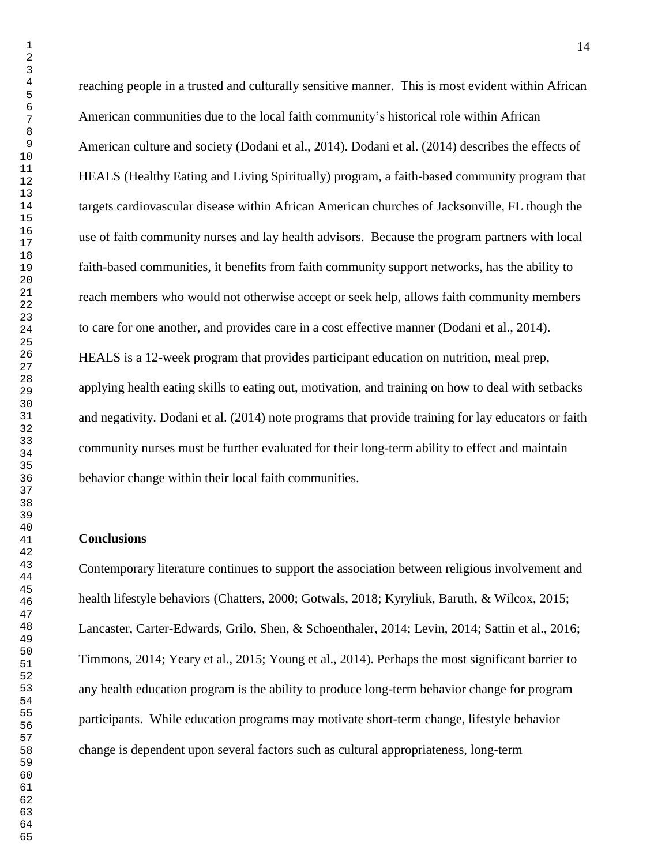reaching people in a trusted and culturally sensitive manner. This is most evident within African American communities due to the local faith community's historical role within African American culture and society (Dodani et al., 2014). Dodani et al. (2014) describes the effects of HEALS (Healthy Eating and Living Spiritually) program, a faith-based community program that targets cardiovascular disease within African American churches of Jacksonville, FL though the use of faith community nurses and lay health advisors. Because the program partners with local faith-based communities, it benefits from faith community support networks, has the ability to reach members who would not otherwise accept or seek help, allows faith community members to care for one another, and provides care in a cost effective manner (Dodani et al., 2014). HEALS is a 12-week program that provides participant education on nutrition, meal prep, applying health eating skills to eating out, motivation, and training on how to deal with setbacks and negativity. Dodani et al. (2014) note programs that provide training for lay educators or faith community nurses must be further evaluated for their long-term ability to effect and maintain behavior change within their local faith communities.

#### **Conclusions**

Contemporary literature continues to support the association between religious involvement and health lifestyle behaviors (Chatters, 2000; Gotwals, 2018; Kyryliuk, Baruth, & Wilcox, 2015; Lancaster, Carter-Edwards, Grilo, Shen, & Schoenthaler, 2014; Levin, 2014; Sattin et al., 2016; Timmons, 2014; Yeary et al., 2015; Young et al., 2014). Perhaps the most significant barrier to any health education program is the ability to produce long-term behavior change for program participants. While education programs may motivate short-term change, lifestyle behavior change is dependent upon several factors such as cultural appropriateness, long-term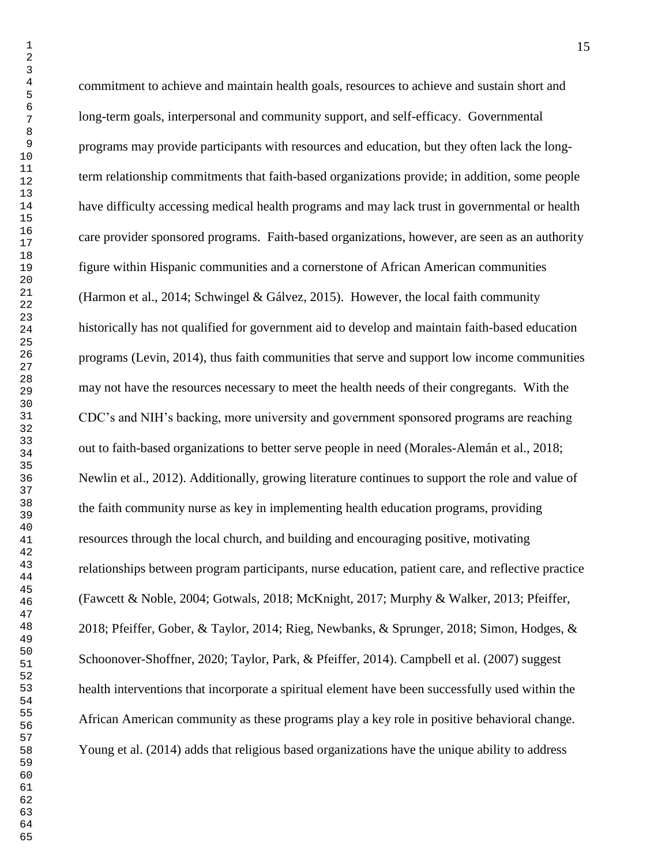commitment to achieve and maintain health goals, resources to achieve and sustain short and long-term goals, interpersonal and community support, and self-efficacy. Governmental programs may provide participants with resources and education, but they often lack the longterm relationship commitments that faith-based organizations provide; in addition, some people have difficulty accessing medical health programs and may lack trust in governmental or health care provider sponsored programs. Faith-based organizations, however, are seen as an authority figure within Hispanic communities and a cornerstone of African American communities (Harmon et al., 2014; Schwingel & Gálvez, 2015). However, the local faith community historically has not qualified for government aid to develop and maintain faith-based education programs (Levin, 2014), thus faith communities that serve and support low income communities may not have the resources necessary to meet the health needs of their congregants. With the CDC's and NIH's backing, more university and government sponsored programs are reaching out to faith-based organizations to better serve people in need (Morales-Alemán et al., 2018; Newlin et al., 2012). Additionally, growing literature continues to support the role and value of the faith community nurse as key in implementing health education programs, providing resources through the local church, and building and encouraging positive, motivating relationships between program participants, nurse education, patient care, and reflective practice (Fawcett & Noble, 2004; Gotwals, 2018; McKnight, 2017; Murphy & Walker, 2013; Pfeiffer, 2018; Pfeiffer, Gober, & Taylor, 2014; Rieg, Newbanks, & Sprunger, 2018; Simon, Hodges, & Schoonover-Shoffner, 2020; Taylor, Park, & Pfeiffer, 2014). Campbell et al. (2007) suggest health interventions that incorporate a spiritual element have been successfully used within the African American community as these programs play a key role in positive behavioral change. Young et al. (2014) adds that religious based organizations have the unique ability to address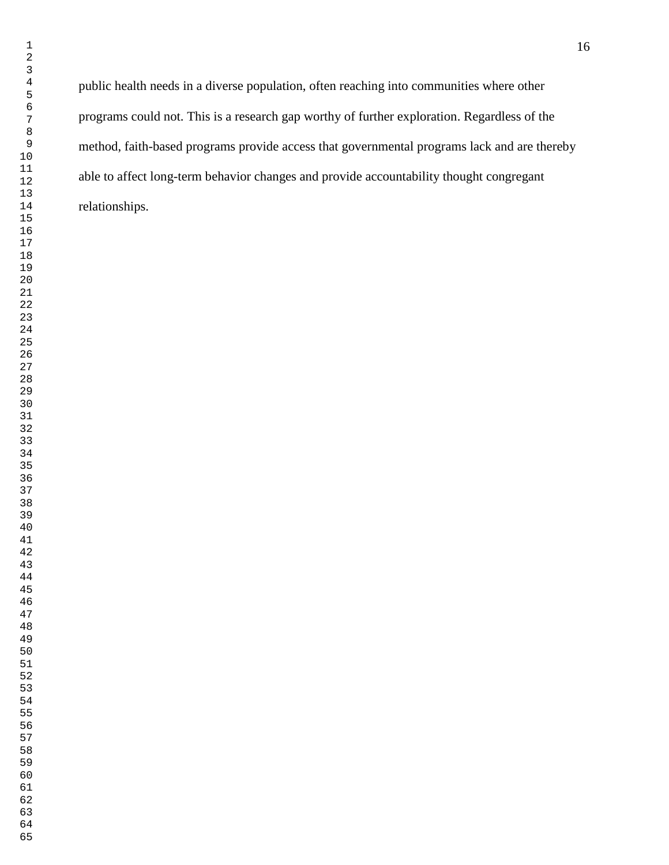public health needs in a diverse population, often reaching into communities where other programs could not. This is a research gap worthy of further exploration. Regardless of the method, faith-based programs provide access that governmental programs lack and are thereby able to affect long-term behavior changes and provide accountability thought congregant relationships.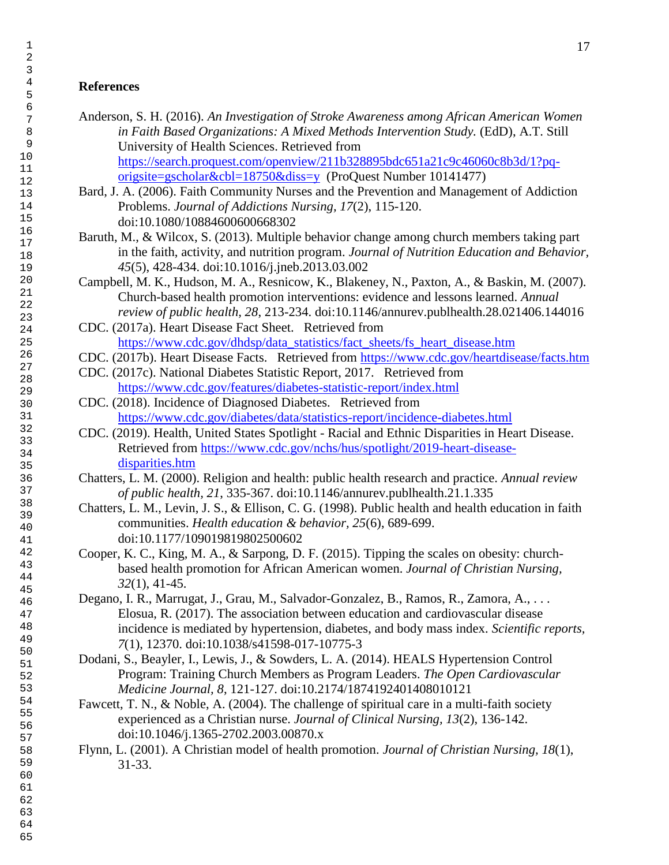# **References**

- Anderson, S. H. (2016). *An Investigation of Stroke Awareness among African American Women in Faith Based Organizations: A Mixed Methods Intervention Study.* (EdD), A.T. Still University of Health Sciences. Retrieved from [https://search.proquest.com/openview/211b328895bdc651a21c9c46060c8b3d/1?pq](https://search.proquest.com/openview/211b328895bdc651a21c9c46060c8b3d/1?pq-origsite=gscholar&cbl=18750&diss=y)[origsite=gscholar&cbl=18750&diss=y](https://search.proquest.com/openview/211b328895bdc651a21c9c46060c8b3d/1?pq-origsite=gscholar&cbl=18750&diss=y) (ProQuest Number 10141477)
- Bard, J. A. (2006). Faith Community Nurses and the Prevention and Management of Addiction Problems. *Journal of Addictions Nursing, 17*(2), 115-120. doi:10.1080/10884600600668302
- Baruth, M., & Wilcox, S. (2013). Multiple behavior change among church members taking part in the faith, activity, and nutrition program. *Journal of Nutrition Education and Behavior,*  (5), 428-434. doi:10.1016/j.jneb.2013.03.002
- Campbell, M. K., Hudson, M. A., Resnicow, K., Blakeney, N., Paxton, A., & Baskin, M. (2007). Church-based health promotion interventions: evidence and lessons learned. *Annual review of public health, 28*, 213-234. doi:10.1146/annurev.publhealth.28.021406.144016
- CDC. (2017a). Heart Disease Fact Sheet. Retrieved from [https://www.cdc.gov/dhdsp/data\\_statistics/fact\\_sheets/fs\\_heart\\_disease.htm](https://www.cdc.gov/dhdsp/data_statistics/fact_sheets/fs_heart_disease.htm)
- CDC. (2017b). Heart Disease Facts. Retrieved from<https://www.cdc.gov/heartdisease/facts.htm>
- CDC. (2017c). National Diabetes Statistic Report, 2017. Retrieved from <https://www.cdc.gov/features/diabetes-statistic-report/index.html>
- CDC. (2018). Incidence of Diagnosed Diabetes. Retrieved from <https://www.cdc.gov/diabetes/data/statistics-report/incidence-diabetes.html>
- CDC. (2019). Health, United States Spotlight Racial and Ethnic Disparities in Heart Disease. Retrieved from [https://www.cdc.gov/nchs/hus/spotlight/2019-heart-disease](https://www.cdc.gov/nchs/hus/spotlight/2019-heart-disease-disparities.htm)[disparities.htm](https://www.cdc.gov/nchs/hus/spotlight/2019-heart-disease-disparities.htm)
- Chatters, L. M. (2000). Religion and health: public health research and practice. *Annual review of public health, 21*, 335-367. doi:10.1146/annurev.publhealth.21.1.335
- Chatters, L. M., Levin, J. S., & Ellison, C. G. (1998). Public health and health education in faith communities. *Health education & behavior, 25*(6), 689-699. doi:10.1177/109019819802500602
- Cooper, K. C., King, M. A., & Sarpong, D. F. (2015). Tipping the scales on obesity: churchbased health promotion for African American women. *Journal of Christian Nursing,*  (1), 41-45.
- Degano, I. R., Marrugat, J., Grau, M., Salvador-Gonzalez, B., Ramos, R., Zamora, A., . . . Elosua, R. (2017). The association between education and cardiovascular disease incidence is mediated by hypertension, diabetes, and body mass index. *Scientific reports,*  (1), 12370. doi:10.1038/s41598-017-10775-3
- Dodani, S., Beayler, I., Lewis, J., & Sowders, L. A. (2014). HEALS Hypertension Control Program: Training Church Members as Program Leaders. *The Open Cardiovascular Medicine Journal, 8*, 121-127. doi:10.2174/1874192401408010121
- Fawcett, T. N., & Noble, A. (2004). The challenge of spiritual care in a multi-faith society experienced as a Christian nurse. *Journal of Clinical Nursing, 13*(2), 136-142. doi:10.1046/j.1365-2702.2003.00870.x
- Flynn, L. (2001). A Christian model of health promotion. *Journal of Christian Nursing, 18*(1), 31-33.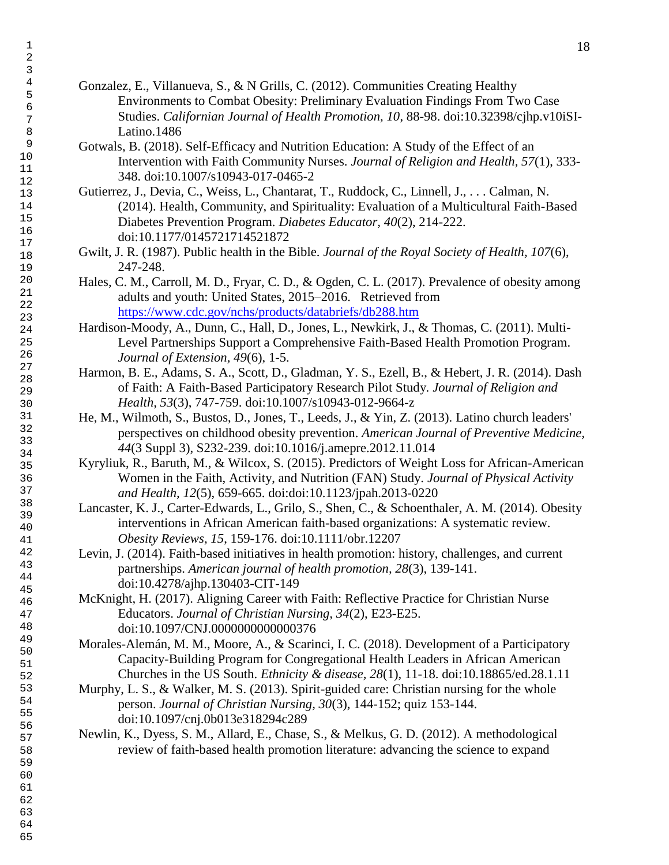- Gonzalez, E., Villanueva, S., & N Grills, C. (2012). Communities Creating Healthy Environments to Combat Obesity: Preliminary Evaluation Findings From Two Case Studies. *Californian Journal of Health Promotion, 10*, 88-98. doi:10.32398/cjhp.v10iSI-Latino.1486
- Gotwals, B. (2018). Self-Efficacy and Nutrition Education: A Study of the Effect of an Intervention with Faith Community Nurses. *Journal of Religion and Health, 57*(1), 333- 348. doi:10.1007/s10943-017-0465-2
- Gutierrez, J., Devia, C., Weiss, L., Chantarat, T., Ruddock, C., Linnell, J., . . . Calman, N. (2014). Health, Community, and Spirituality: Evaluation of a Multicultural Faith-Based Diabetes Prevention Program. *Diabetes Educator, 40*(2), 214-222. doi:10.1177/0145721714521872
- Gwilt, J. R. (1987). Public health in the Bible. *Journal of the Royal Society of Health, 107*(6), 247-248.
- Hales, C. M., Carroll, M. D., Fryar, C. D., & Ogden, C. L. (2017). Prevalence of obesity among adults and youth: United States, 2015–2016. Retrieved from <https://www.cdc.gov/nchs/products/databriefs/db288.htm>
- Hardison-Moody, A., Dunn, C., Hall, D., Jones, L., Newkirk, J., & Thomas, C. (2011). Multi-Level Partnerships Support a Comprehensive Faith-Based Health Promotion Program. *Journal of Extension, 49*(6), 1-5.
- Harmon, B. E., Adams, S. A., Scott, D., Gladman, Y. S., Ezell, B., & Hebert, J. R. (2014). Dash of Faith: A Faith-Based Participatory Research Pilot Study. *Journal of Religion and Health, 53*(3), 747-759. doi:10.1007/s10943-012-9664-z
- He, M., Wilmoth, S., Bustos, D., Jones, T., Leeds, J., & Yin, Z. (2013). Latino church leaders' perspectives on childhood obesity prevention. *American Journal of Preventive Medicine,*  (3 Suppl 3), S232-239. doi:10.1016/j.amepre.2012.11.014
- Kyryliuk, R., Baruth, M., & Wilcox, S. (2015). Predictors of Weight Loss for African-American Women in the Faith, Activity, and Nutrition (FAN) Study. *Journal of Physical Activity and Health, 12*(5), 659-665. doi:doi:10.1123/jpah.2013-0220
- Lancaster, K. J., Carter-Edwards, L., Grilo, S., Shen, C., & Schoenthaler, A. M. (2014). Obesity interventions in African American faith-based organizations: A systematic review. *Obesity Reviews, 15*, 159-176. doi:10.1111/obr.12207
- Levin, J. (2014). Faith-based initiatives in health promotion: history, challenges, and current partnerships. *American journal of health promotion, 28*(3), 139-141. doi:10.4278/ajhp.130403-CIT-149
- McKnight, H. (2017). Aligning Career with Faith: Reflective Practice for Christian Nurse Educators. *Journal of Christian Nursing, 34*(2), E23-E25. doi:10.1097/CNJ.0000000000000376
- Morales-Alemán, M. M., Moore, A., & Scarinci, I. C. (2018). Development of a Participatory Capacity-Building Program for Congregational Health Leaders in African American Churches in the US South. *Ethnicity & disease, 28*(1), 11-18. doi:10.18865/ed.28.1.11
- Murphy, L. S., & Walker, M. S. (2013). Spirit-guided care: Christian nursing for the whole person. *Journal of Christian Nursing, 30*(3), 144-152; quiz 153-144. doi:10.1097/cnj.0b013e318294c289
- Newlin, K., Dyess, S. M., Allard, E., Chase, S., & Melkus, G. D. (2012). A methodological review of faith-based health promotion literature: advancing the science to expand

 

- 
-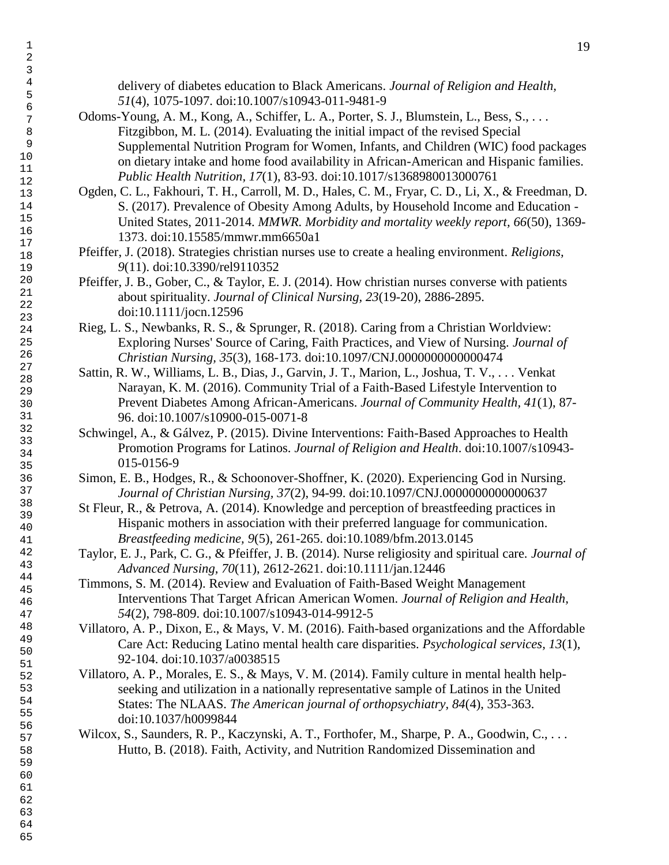delivery of diabetes education to Black Americans. *Journal of Religion and Health,*  (4), 1075-1097. doi:10.1007/s10943-011-9481-9

- Odoms-Young, A. M., Kong, A., Schiffer, L. A., Porter, S. J., Blumstein, L., Bess, S., ... Fitzgibbon, M. L. (2014). Evaluating the initial impact of the revised Special Supplemental Nutrition Program for Women, Infants, and Children (WIC) food packages on dietary intake and home food availability in African-American and Hispanic families. *Public Health Nutrition, 17*(1), 83-93. doi:10.1017/s1368980013000761
- Ogden, C. L., Fakhouri, T. H., Carroll, M. D., Hales, C. M., Fryar, C. D., Li, X., & Freedman, D. S. (2017). Prevalence of Obesity Among Adults, by Household Income and Education - United States, 2011-2014. *MMWR. Morbidity and mortality weekly report, 66*(50), 1369- 1373. doi:10.15585/mmwr.mm6650a1
- Pfeiffer, J. (2018). Strategies christian nurses use to create a healing environment. *Religions,*  (11). doi:10.3390/rel9110352
- Pfeiffer, J. B., Gober, C., & Taylor, E. J. (2014). How christian nurses converse with patients about spirituality. *Journal of Clinical Nursing, 23*(19-20), 2886-2895. doi:10.1111/jocn.12596
- Rieg, L. S., Newbanks, R. S., & Sprunger, R. (2018). Caring from a Christian Worldview: Exploring Nurses' Source of Caring, Faith Practices, and View of Nursing. *Journal of Christian Nursing, 35*(3), 168-173. doi:10.1097/CNJ.0000000000000474
- Sattin, R. W., Williams, L. B., Dias, J., Garvin, J. T., Marion, L., Joshua, T. V., . . . Venkat Narayan, K. M. (2016). Community Trial of a Faith-Based Lifestyle Intervention to Prevent Diabetes Among African-Americans. *Journal of Community Health, 41*(1), 87- 96. doi:10.1007/s10900-015-0071-8
- Schwingel, A., & Gálvez, P. (2015). Divine Interventions: Faith-Based Approaches to Health Promotion Programs for Latinos. *Journal of Religion and Health*. doi:10.1007/s10943- 015-0156-9
- Simon, E. B., Hodges, R., & Schoonover-Shoffner, K. (2020). Experiencing God in Nursing. *Journal of Christian Nursing, 37*(2), 94-99. doi:10.1097/CNJ.0000000000000637
- St Fleur, R., & Petrova, A. (2014). Knowledge and perception of breastfeeding practices in Hispanic mothers in association with their preferred language for communication. *Breastfeeding medicine, 9*(5), 261-265. doi:10.1089/bfm.2013.0145
- Taylor, E. J., Park, C. G., & Pfeiffer, J. B. (2014). Nurse religiosity and spiritual care. *Journal of Advanced Nursing, 70*(11), 2612-2621. doi:10.1111/jan.12446
- Timmons, S. M. (2014). Review and Evaluation of Faith-Based Weight Management Interventions That Target African American Women. *Journal of Religion and Health,*  (2), 798-809. doi:10.1007/s10943-014-9912-5
- Villatoro, A. P., Dixon, E., & Mays, V. M. (2016). Faith-based organizations and the Affordable Care Act: Reducing Latino mental health care disparities. *Psychological services, 13*(1), 92-104. doi:10.1037/a0038515
- Villatoro, A. P., Morales, E. S., & Mays, V. M. (2014). Family culture in mental health helpseeking and utilization in a nationally representative sample of Latinos in the United States: The NLAAS. *The American journal of orthopsychiatry, 84*(4), 353-363. doi:10.1037/h0099844
- Wilcox, S., Saunders, R. P., Kaczynski, A. T., Forthofer, M., Sharpe, P. A., Goodwin, C., ... Hutto, B. (2018). Faith, Activity, and Nutrition Randomized Dissemination and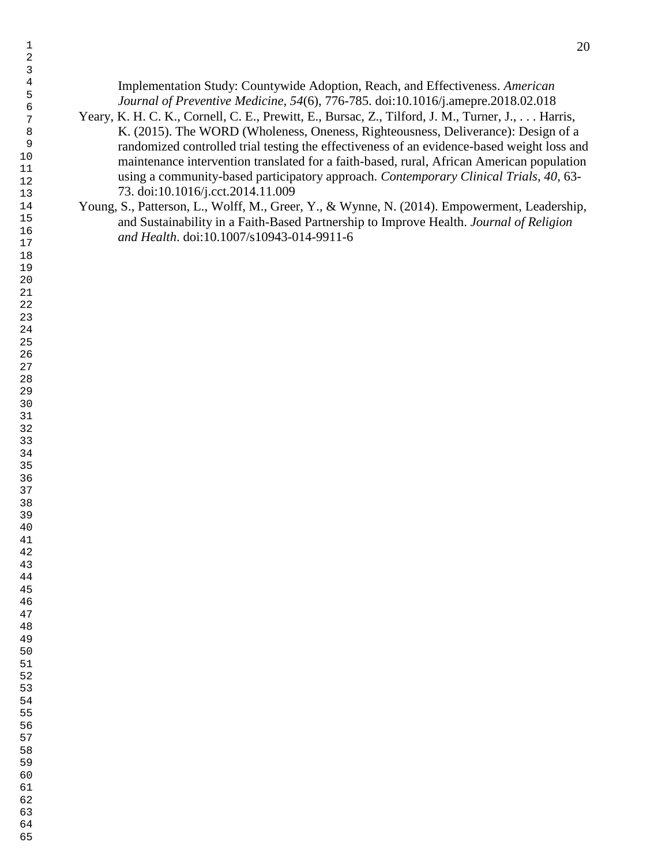- Implementation Study: Countywide Adoption, Reach, and Effectiveness. *American Journal of Preventive Medicine, 54*(6), 776-785. doi:10.1016/j.amepre.2018.02.018 Yeary, K. H. C. K., Cornell, C. E., Prewitt, E., Bursac, Z., Tilford, J. M., Turner, J., . . . Harris, K. (2015). The WORD (Wholeness, Oneness, Righteousness, Deliverance): Design of a randomized controlled trial testing the effectiveness of an evidence-based weight loss and maintenance intervention translated for a faith-based, rural, African American population using a community-based participatory approach. *Contemporary Clinical Trials, 40*, 63- 73. doi:10.1016/j.cct.2014.11.009
- Young, S., Patterson, L., Wolff, M., Greer, Y., & Wynne, N. (2014). Empowerment, Leadership, and Sustainability in a Faith-Based Partnership to Improve Health. *Journal of Religion and Health*. doi:10.1007/s10943-014-9911-6